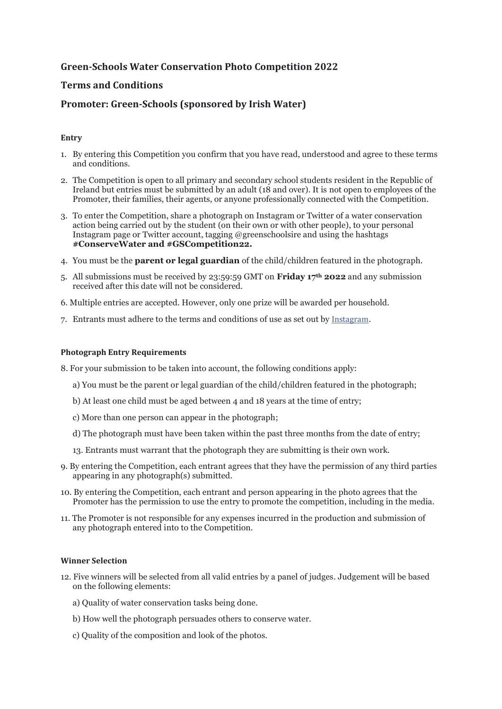# **Green-Schools Water Conservation Photo Competition 2022**

## **Terms and Conditions**

## **Promoter: Green-Schools (sponsored by Irish Water)**

### **Entry**

- 1. By entering this Competition you confirm that you have read, understood and agree to these terms and conditions.
- 2. The Competition is open to all primary and secondary school students resident in the Republic of Ireland but entries must be submitted by an adult (18 and over). It is not open to employees of the Promoter, their families, their agents, or anyone professionally connected with the Competition.
- 3. To enter the Competition, share a photograph on Instagram or Twitter of a water conservation action being carried out by the student (on their own or with other people), to your personal Instagram page or Twitter account, tagging @greenschoolsire and using the hashtags **#ConserveWater and #GSCompetition22.**
- 4. You must be the **parent or legal guardian** of the child/children featured in the photograph.
- 5. All submissions must be received by 23:59:59 GMT on **Friday 17th 2022** and any submission received after this date will not be considered.
- 6. Multiple entries are accepted. However, only one prize will be awarded per household.
- 7. Entrants must adhere to the terms and conditions of use as set out by [Instagram](https://l.facebook.com/l.php?u=https%3A%2F%2Fhelp.instagram.com%2F478745558852511%3Ffbclid%3DIwAR0rnVbU_ehQKA6rnj26YG4lbS7DYIv9Jq_xxvfrYd_ojvg8n6mmXqUXZ2Y&h=AT23bSS2oTvcgsXYozJrKZr0GD64fLu5HaIbvtSitXkNtxF7GjNIb_qfVk2ls0T_wRu9wb1ZoMvmtJVb6u5XJk6goOOXcp_M_B3KjEqUqbyV8K8YukKGtcZqu7IyvbG6YjOQveVlGOjEllK_).

#### **Photograph Entry Requirements**

- 8. For your submission to be taken into account, the following conditions apply:
	- a) You must be the parent or legal guardian of the child/children featured in the photograph;
	- b) At least one child must be aged between 4 and 18 years at the time of entry;
	- c) More than one person can appear in the photograph;
	- d) The photograph must have been taken within the past three months from the date of entry;
	- 13. Entrants must warrant that the photograph they are submitting is their own work.
- 9. By entering the Competition, each entrant agrees that they have the permission of any third parties appearing in any photograph(s) submitted.
- 10. By entering the Competition, each entrant and person appearing in the photo agrees that the Promoter has the permission to use the entry to promote the competition, including in the media.
- 11. The Promoter is not responsible for any expenses incurred in the production and submission of any photograph entered into to the Competition.

#### **Winner Selection**

- 12. Five winners will be selected from all valid entries by a panel of judges. Judgement will be based on the following elements:
	- a) Quality of water conservation tasks being done.
	- b) How well the photograph persuades others to conserve water.
	- c) Quality of the composition and look of the photos.